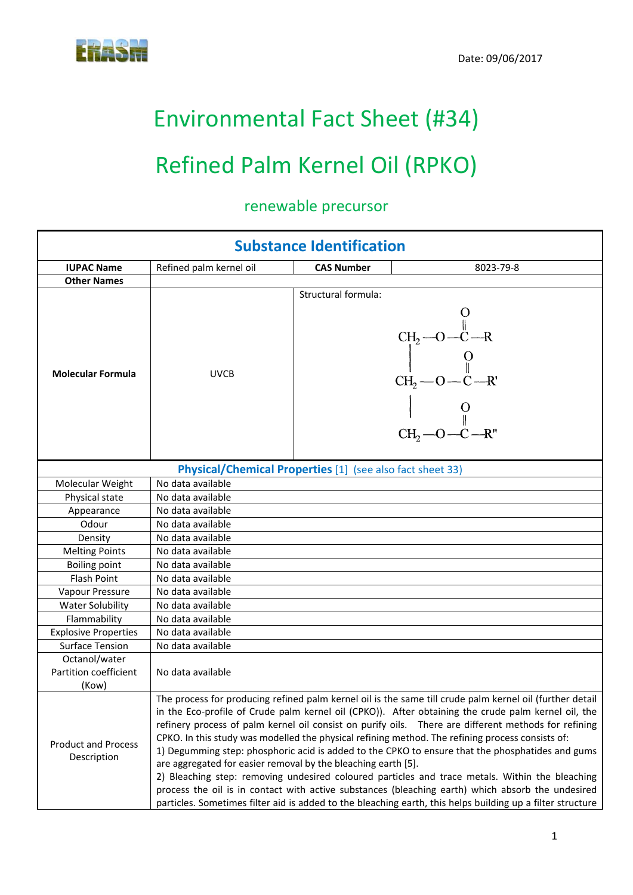

# Environmental Fact Sheet (#34)

# Refined Palm Kernel Oil (RPKO)

## renewable precursor

| <b>Substance Identification</b>           |                                                               |                     |                                                                                                                                                                                                                                                                                                                                                                                                                                                                                                                                                                                                                                                                                                                                                                                                                                                       |
|-------------------------------------------|---------------------------------------------------------------|---------------------|-------------------------------------------------------------------------------------------------------------------------------------------------------------------------------------------------------------------------------------------------------------------------------------------------------------------------------------------------------------------------------------------------------------------------------------------------------------------------------------------------------------------------------------------------------------------------------------------------------------------------------------------------------------------------------------------------------------------------------------------------------------------------------------------------------------------------------------------------------|
| <b>IUPAC Name</b>                         | Refined palm kernel oil                                       | <b>CAS Number</b>   | 8023-79-8                                                                                                                                                                                                                                                                                                                                                                                                                                                                                                                                                                                                                                                                                                                                                                                                                                             |
| <b>Other Names</b>                        |                                                               |                     |                                                                                                                                                                                                                                                                                                                                                                                                                                                                                                                                                                                                                                                                                                                                                                                                                                                       |
| <b>Molecular Formula</b>                  | <b>UVCB</b>                                                   | Structural formula: | $CH_2-O-C-R$<br>$CH_2-O-C-R$<br>$CH_2-O-C-R$<br>$C_{12}$ $C_{2}$ $C_{3}$ $C_{4}$ $C_{5}$ $C_{6}$ $C_{7}$ $C_{8}$ $C_{9}$ $C_{10}$ $C_{11}$ $C_{12}$ $C_{13}$ $C_{14}$ $C_{15}$ $C_{16}$ $C_{17}$ $C_{18}$ $C_{19}$                                                                                                                                                                                                                                                                                                                                                                                                                                                                                                                                                                                                                                    |
|                                           | Physical/Chemical Properties [1] (see also fact sheet 33)     |                     |                                                                                                                                                                                                                                                                                                                                                                                                                                                                                                                                                                                                                                                                                                                                                                                                                                                       |
| Molecular Weight                          | No data available                                             |                     |                                                                                                                                                                                                                                                                                                                                                                                                                                                                                                                                                                                                                                                                                                                                                                                                                                                       |
| Physical state                            | No data available                                             |                     |                                                                                                                                                                                                                                                                                                                                                                                                                                                                                                                                                                                                                                                                                                                                                                                                                                                       |
| Appearance                                | No data available                                             |                     |                                                                                                                                                                                                                                                                                                                                                                                                                                                                                                                                                                                                                                                                                                                                                                                                                                                       |
| Odour                                     | No data available                                             |                     |                                                                                                                                                                                                                                                                                                                                                                                                                                                                                                                                                                                                                                                                                                                                                                                                                                                       |
| Density                                   | No data available                                             |                     |                                                                                                                                                                                                                                                                                                                                                                                                                                                                                                                                                                                                                                                                                                                                                                                                                                                       |
| <b>Melting Points</b>                     | No data available                                             |                     |                                                                                                                                                                                                                                                                                                                                                                                                                                                                                                                                                                                                                                                                                                                                                                                                                                                       |
| <b>Boiling point</b>                      | No data available                                             |                     |                                                                                                                                                                                                                                                                                                                                                                                                                                                                                                                                                                                                                                                                                                                                                                                                                                                       |
| <b>Flash Point</b>                        | No data available                                             |                     |                                                                                                                                                                                                                                                                                                                                                                                                                                                                                                                                                                                                                                                                                                                                                                                                                                                       |
| Vapour Pressure                           | No data available                                             |                     |                                                                                                                                                                                                                                                                                                                                                                                                                                                                                                                                                                                                                                                                                                                                                                                                                                                       |
| <b>Water Solubility</b>                   | No data available                                             |                     |                                                                                                                                                                                                                                                                                                                                                                                                                                                                                                                                                                                                                                                                                                                                                                                                                                                       |
| Flammability                              | No data available                                             |                     |                                                                                                                                                                                                                                                                                                                                                                                                                                                                                                                                                                                                                                                                                                                                                                                                                                                       |
| <b>Explosive Properties</b>               | No data available                                             |                     |                                                                                                                                                                                                                                                                                                                                                                                                                                                                                                                                                                                                                                                                                                                                                                                                                                                       |
| <b>Surface Tension</b>                    | No data available                                             |                     |                                                                                                                                                                                                                                                                                                                                                                                                                                                                                                                                                                                                                                                                                                                                                                                                                                                       |
| Octanol/water                             |                                                               |                     |                                                                                                                                                                                                                                                                                                                                                                                                                                                                                                                                                                                                                                                                                                                                                                                                                                                       |
| Partition coefficient                     | No data available                                             |                     |                                                                                                                                                                                                                                                                                                                                                                                                                                                                                                                                                                                                                                                                                                                                                                                                                                                       |
| (Kow)                                     |                                                               |                     |                                                                                                                                                                                                                                                                                                                                                                                                                                                                                                                                                                                                                                                                                                                                                                                                                                                       |
| <b>Product and Process</b><br>Description | are aggregated for easier removal by the bleaching earth [5]. |                     | The process for producing refined palm kernel oil is the same till crude palm kernel oil (further detail<br>in the Eco-profile of Crude palm kernel oil (CPKO)). After obtaining the crude palm kernel oil, the<br>refinery process of palm kernel oil consist on purify oils. There are different methods for refining<br>CPKO. In this study was modelled the physical refining method. The refining process consists of:<br>1) Degumming step: phosphoric acid is added to the CPKO to ensure that the phosphatides and gums<br>2) Bleaching step: removing undesired coloured particles and trace metals. Within the bleaching<br>process the oil is in contact with active substances (bleaching earth) which absorb the undesired<br>particles. Sometimes filter aid is added to the bleaching earth, this helps building up a filter structure |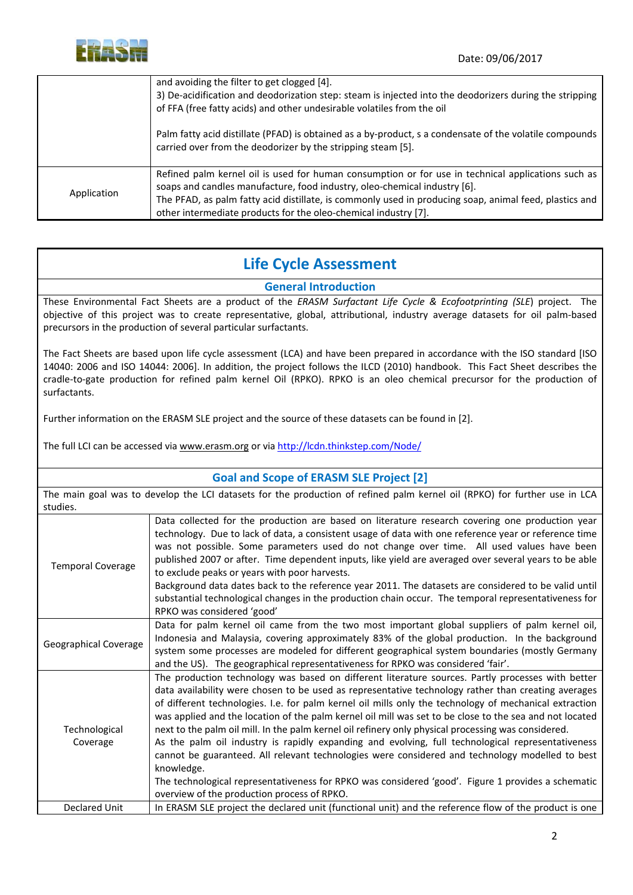

|             | and avoiding the filter to get clogged [4].<br>3) De-acidification and deodorization step: steam is injected into the deodorizers during the stripping<br>of FFA (free fatty acids) and other undesirable volatiles from the oil                                                                                                                             |
|-------------|--------------------------------------------------------------------------------------------------------------------------------------------------------------------------------------------------------------------------------------------------------------------------------------------------------------------------------------------------------------|
|             | Palm fatty acid distillate (PFAD) is obtained as a by-product, s a condensate of the volatile compounds<br>carried over from the deodorizer by the stripping steam [5].                                                                                                                                                                                      |
| Application | Refined palm kernel oil is used for human consumption or for use in technical applications such as<br>soaps and candles manufacture, food industry, oleo-chemical industry [6].<br>The PFAD, as palm fatty acid distillate, is commonly used in producing soap, animal feed, plastics and<br>other intermediate products for the oleo-chemical industry [7]. |

### **Life Cycle Assessment**

#### **General Introduction**

These Environmental Fact Sheets are a product of the *ERASM Surfactant Life Cycle & Ecofootprinting (SLE*) project. The objective of this project was to create representative, global, attributional, industry average datasets for oil palm‐based precursors in the production of several particular surfactants.

The Fact Sheets are based upon life cycle assessment (LCA) and have been prepared in accordance with the ISO standard [ISO 14040: 2006 and ISO 14044: 2006]. In addition, the project follows the ILCD (2010) handbook. This Fact Sheet describes the cradle‐to‐gate production for refined palm kernel Oil (RPKO). RPKO is an oleo chemical precursor for the production of surfactants.

Further information on the ERASM SLE project and the source of these datasets can be found in [2].

The full LCI can be accessed via www.erasm.org or via http://lcdn.thinkstep.com/Node/

| <b>Goal and Scope of ERASM SLE Project [2]</b>                                                                            |                                                                                                                                                                                                                                                                                                                                                                                                                                                                                                                                                                                                                                                                                                                                                                                                                                                                                                                 |  |
|---------------------------------------------------------------------------------------------------------------------------|-----------------------------------------------------------------------------------------------------------------------------------------------------------------------------------------------------------------------------------------------------------------------------------------------------------------------------------------------------------------------------------------------------------------------------------------------------------------------------------------------------------------------------------------------------------------------------------------------------------------------------------------------------------------------------------------------------------------------------------------------------------------------------------------------------------------------------------------------------------------------------------------------------------------|--|
| The main goal was to develop the LCI datasets for the production of refined palm kernel oil (RPKO) for further use in LCA |                                                                                                                                                                                                                                                                                                                                                                                                                                                                                                                                                                                                                                                                                                                                                                                                                                                                                                                 |  |
| studies.                                                                                                                  |                                                                                                                                                                                                                                                                                                                                                                                                                                                                                                                                                                                                                                                                                                                                                                                                                                                                                                                 |  |
| <b>Temporal Coverage</b>                                                                                                  | Data collected for the production are based on literature research covering one production year<br>technology. Due to lack of data, a consistent usage of data with one reference year or reference time<br>was not possible. Some parameters used do not change over time. All used values have been<br>published 2007 or after. Time dependent inputs, like yield are averaged over several years to be able<br>to exclude peaks or years with poor harvests.<br>Background data dates back to the reference year 2011. The datasets are considered to be valid until<br>substantial technological changes in the production chain occur. The temporal representativeness for<br>RPKO was considered 'good'                                                                                                                                                                                                   |  |
| Geographical Coverage                                                                                                     | Data for palm kernel oil came from the two most important global suppliers of palm kernel oil,<br>Indonesia and Malaysia, covering approximately 83% of the global production. In the background<br>system some processes are modeled for different geographical system boundaries (mostly Germany<br>and the US). The geographical representativeness for RPKO was considered 'fair'.                                                                                                                                                                                                                                                                                                                                                                                                                                                                                                                          |  |
| Technological<br>Coverage                                                                                                 | The production technology was based on different literature sources. Partly processes with better<br>data availability were chosen to be used as representative technology rather than creating averages<br>of different technologies. I.e. for palm kernel oil mills only the technology of mechanical extraction<br>was applied and the location of the palm kernel oil mill was set to be close to the sea and not located<br>next to the palm oil mill. In the palm kernel oil refinery only physical processing was considered.<br>As the palm oil industry is rapidly expanding and evolving, full technological representativeness<br>cannot be guaranteed. All relevant technologies were considered and technology modelled to best<br>knowledge.<br>The technological representativeness for RPKO was considered 'good'. Figure 1 provides a schematic<br>overview of the production process of RPKO. |  |
| <b>Declared Unit</b>                                                                                                      | In ERASM SLE project the declared unit (functional unit) and the reference flow of the product is one                                                                                                                                                                                                                                                                                                                                                                                                                                                                                                                                                                                                                                                                                                                                                                                                           |  |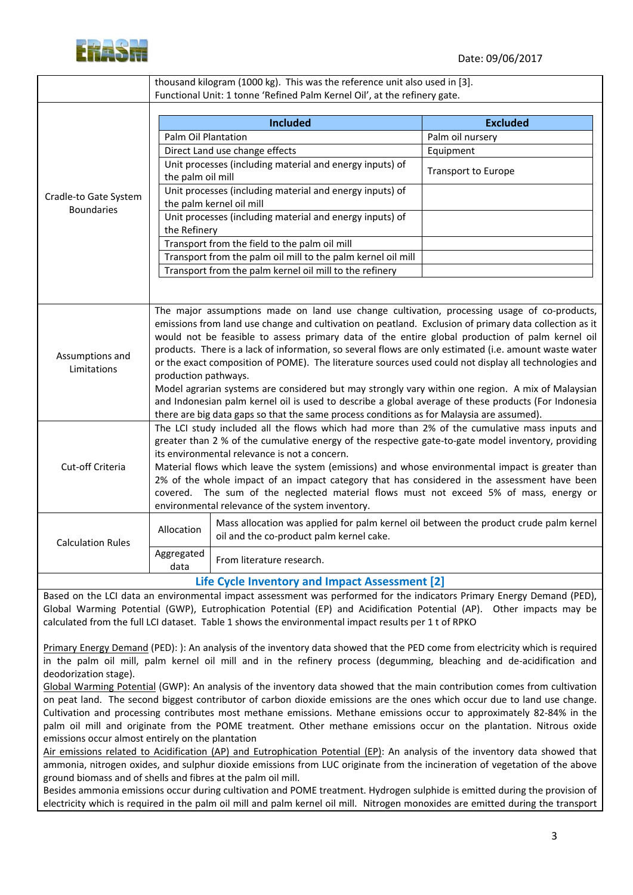

|                                            | thousand kilogram (1000 kg). This was the reference unit also used in [3].                                                                                                                                                                                                                                                                                                                                                                                                                                                                                                                                                                                                                                                                                                                                                                                                                                                                                                                                                                                            |                                                                                                                                                                                                                                                                                                                                                        |                            |  |  |
|--------------------------------------------|-----------------------------------------------------------------------------------------------------------------------------------------------------------------------------------------------------------------------------------------------------------------------------------------------------------------------------------------------------------------------------------------------------------------------------------------------------------------------------------------------------------------------------------------------------------------------------------------------------------------------------------------------------------------------------------------------------------------------------------------------------------------------------------------------------------------------------------------------------------------------------------------------------------------------------------------------------------------------------------------------------------------------------------------------------------------------|--------------------------------------------------------------------------------------------------------------------------------------------------------------------------------------------------------------------------------------------------------------------------------------------------------------------------------------------------------|----------------------------|--|--|
|                                            | Functional Unit: 1 tonne 'Refined Palm Kernel Oil', at the refinery gate.                                                                                                                                                                                                                                                                                                                                                                                                                                                                                                                                                                                                                                                                                                                                                                                                                                                                                                                                                                                             |                                                                                                                                                                                                                                                                                                                                                        |                            |  |  |
| Cradle-to Gate System<br><b>Boundaries</b> | <b>Included</b>                                                                                                                                                                                                                                                                                                                                                                                                                                                                                                                                                                                                                                                                                                                                                                                                                                                                                                                                                                                                                                                       |                                                                                                                                                                                                                                                                                                                                                        | <b>Excluded</b>            |  |  |
|                                            | Palm Oil Plantation                                                                                                                                                                                                                                                                                                                                                                                                                                                                                                                                                                                                                                                                                                                                                                                                                                                                                                                                                                                                                                                   |                                                                                                                                                                                                                                                                                                                                                        | Palm oil nursery           |  |  |
|                                            |                                                                                                                                                                                                                                                                                                                                                                                                                                                                                                                                                                                                                                                                                                                                                                                                                                                                                                                                                                                                                                                                       | Direct Land use change effects                                                                                                                                                                                                                                                                                                                         | Equipment                  |  |  |
|                                            | the palm oil mill                                                                                                                                                                                                                                                                                                                                                                                                                                                                                                                                                                                                                                                                                                                                                                                                                                                                                                                                                                                                                                                     | Unit processes (including material and energy inputs) of                                                                                                                                                                                                                                                                                               | <b>Transport to Europe</b> |  |  |
|                                            | Unit processes (including material and energy inputs) of<br>the palm kernel oil mill                                                                                                                                                                                                                                                                                                                                                                                                                                                                                                                                                                                                                                                                                                                                                                                                                                                                                                                                                                                  |                                                                                                                                                                                                                                                                                                                                                        |                            |  |  |
|                                            | Unit processes (including material and energy inputs) of<br>the Refinery                                                                                                                                                                                                                                                                                                                                                                                                                                                                                                                                                                                                                                                                                                                                                                                                                                                                                                                                                                                              |                                                                                                                                                                                                                                                                                                                                                        |                            |  |  |
|                                            | Transport from the field to the palm oil mill                                                                                                                                                                                                                                                                                                                                                                                                                                                                                                                                                                                                                                                                                                                                                                                                                                                                                                                                                                                                                         |                                                                                                                                                                                                                                                                                                                                                        |                            |  |  |
|                                            |                                                                                                                                                                                                                                                                                                                                                                                                                                                                                                                                                                                                                                                                                                                                                                                                                                                                                                                                                                                                                                                                       | Transport from the palm oil mill to the palm kernel oil mill                                                                                                                                                                                                                                                                                           |                            |  |  |
|                                            |                                                                                                                                                                                                                                                                                                                                                                                                                                                                                                                                                                                                                                                                                                                                                                                                                                                                                                                                                                                                                                                                       | Transport from the palm kernel oil mill to the refinery                                                                                                                                                                                                                                                                                                |                            |  |  |
|                                            |                                                                                                                                                                                                                                                                                                                                                                                                                                                                                                                                                                                                                                                                                                                                                                                                                                                                                                                                                                                                                                                                       |                                                                                                                                                                                                                                                                                                                                                        |                            |  |  |
| Assumptions and<br>Limitations             | The major assumptions made on land use change cultivation, processing usage of co-products,<br>emissions from land use change and cultivation on peatland. Exclusion of primary data collection as it<br>would not be feasible to assess primary data of the entire global production of palm kernel oil<br>products. There is a lack of information, so several flows are only estimated (i.e. amount waste water<br>or the exact composition of POME). The literature sources used could not display all technologies and<br>production pathways.<br>Model agrarian systems are considered but may strongly vary within one region. A mix of Malaysian<br>and Indonesian palm kernel oil is used to describe a global average of these products (For Indonesia<br>there are big data gaps so that the same process conditions as for Malaysia are assumed).<br>The LCI study included all the flows which had more than 2% of the cumulative mass inputs and<br>greater than 2 % of the cumulative energy of the respective gate-to-gate model inventory, providing |                                                                                                                                                                                                                                                                                                                                                        |                            |  |  |
| Cut-off Criteria                           | its environmental relevance is not a concern.<br>Material flows which leave the system (emissions) and whose environmental impact is greater than<br>2% of the whole impact of an impact category that has considered in the assessment have been<br>covered. The sum of the neglected material flows must not exceed 5% of mass, energy or                                                                                                                                                                                                                                                                                                                                                                                                                                                                                                                                                                                                                                                                                                                           |                                                                                                                                                                                                                                                                                                                                                        |                            |  |  |
|                                            | environmental relevance of the system inventory.                                                                                                                                                                                                                                                                                                                                                                                                                                                                                                                                                                                                                                                                                                                                                                                                                                                                                                                                                                                                                      |                                                                                                                                                                                                                                                                                                                                                        |                            |  |  |
| <b>Calculation Rules</b>                   | Allocation                                                                                                                                                                                                                                                                                                                                                                                                                                                                                                                                                                                                                                                                                                                                                                                                                                                                                                                                                                                                                                                            | Mass allocation was applied for palm kernel oil between the product crude palm kernel<br>oil and the co-product palm kernel cake.                                                                                                                                                                                                                      |                            |  |  |
|                                            | Aggregated<br>data                                                                                                                                                                                                                                                                                                                                                                                                                                                                                                                                                                                                                                                                                                                                                                                                                                                                                                                                                                                                                                                    | From literature research.                                                                                                                                                                                                                                                                                                                              |                            |  |  |
|                                            |                                                                                                                                                                                                                                                                                                                                                                                                                                                                                                                                                                                                                                                                                                                                                                                                                                                                                                                                                                                                                                                                       | Life Cycle Inventory and Impact Assessment [2]                                                                                                                                                                                                                                                                                                         |                            |  |  |
|                                            |                                                                                                                                                                                                                                                                                                                                                                                                                                                                                                                                                                                                                                                                                                                                                                                                                                                                                                                                                                                                                                                                       | Based on the LCI data an environmental impact assessment was performed for the indicators Primary Energy Demand (PED),<br>Global Warming Potential (GWP), Eutrophication Potential (EP) and Acidification Potential (AP). Other impacts may be<br>calculated from the full LCI dataset. Table 1 shows the environmental impact results per 1 t of RPKO |                            |  |  |

Primary Energy Demand (PED): ): An analysis of the inventory data showed that the PED come from electricity which is required in the palm oil mill, palm kernel oil mill and in the refinery process (degumming, bleaching and de‐acidification and deodorization stage).

Global Warming Potential (GWP): An analysis of the inventory data showed that the main contribution comes from cultivation on peat land. The second biggest contributor of carbon dioxide emissions are the ones which occur due to land use change. Cultivation and processing contributes most methane emissions. Methane emissions occur to approximately 82‐84% in the palm oil mill and originate from the POME treatment. Other methane emissions occur on the plantation. Nitrous oxide emissions occur almost entirely on the plantation

Air emissions related to Acidification (AP) and Eutrophication Potential (EP): An analysis of the inventory data showed that ammonia, nitrogen oxides, and sulphur dioxide emissions from LUC originate from the incineration of vegetation of the above ground biomass and of shells and fibres at the palm oil mill.

Besides ammonia emissions occur during cultivation and POME treatment. Hydrogen sulphide is emitted during the provision of electricity which is required in the palm oil mill and palm kernel oil mill. Nitrogen monoxides are emitted during the transport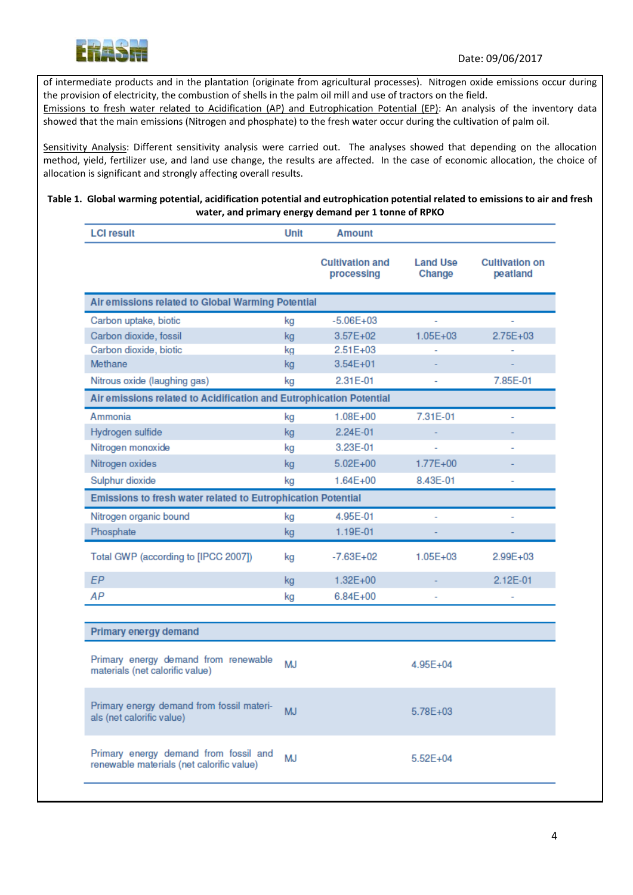

of intermediate products and in the plantation (originate from agricultural processes). Nitrogen oxide emissions occur during the provision of electricity, the combustion of shells in the palm oil mill and use of tractors on the field.

Emissions to fresh water related to Acidification (AP) and Eutrophication Potential (EP): An analysis of the inventory data showed that the main emissions (Nitrogen and phosphate) to the fresh water occur during the cultivation of palm oil.

Sensitivity Analysis: Different sensitivity analysis were carried out. The analyses showed that depending on the allocation method, yield, fertilizer use, and land use change, the results are affected. In the case of economic allocation, the choice of allocation is significant and strongly affecting overall results.

#### Table 1. Global warming potential, acidification potential and eutrophication potential related to emissions to air and fresh **water, and primary energy demand per 1 tonne of RPKO**

| <b>LCI result</b>                                                                               | Unit      | <b>Amount</b>                        |                           |                                   |
|-------------------------------------------------------------------------------------------------|-----------|--------------------------------------|---------------------------|-----------------------------------|
|                                                                                                 |           | <b>Cultivation and</b><br>processing | <b>Land Use</b><br>Change | <b>Cultivation on</b><br>peatland |
| Air emissions related to Global Warming Potential                                               |           |                                      |                           |                                   |
| Carbon uptake, biotic                                                                           | kg        | $-5.06E + 03$                        |                           |                                   |
| Carbon dioxide, fossil                                                                          | kg        | $3.57E + 02$                         | $1.05E + 03$              | $2.75E+03$                        |
| Carbon dioxide, biotic                                                                          | kg        | $2.51E+03$                           |                           |                                   |
| Methane                                                                                         | kg        | $3.54E + 01$                         |                           |                                   |
| Nitrous oxide (laughing gas)                                                                    | kg        | 2.31E-01                             |                           | 7.85E-01                          |
| Air emissions related to Acidification and Eutrophication Potential                             |           |                                      |                           |                                   |
| Ammonia                                                                                         | kg        | 1.08E+00                             | 7.31E-01                  |                                   |
| Hydrogen sulfide                                                                                | kg        | 2.24E-01                             |                           |                                   |
| Nitrogen monoxide                                                                               | kg        | 3.23E-01                             |                           |                                   |
| Nitrogen oxides                                                                                 | kg        | $5.02E + 00$                         | $1.77E + 00$              |                                   |
| Sulphur dioxide                                                                                 | kg        | $1.64E + 00$                         | 8.43E-01                  | ä,                                |
| Emissions to fresh water related to Eutrophication Potential                                    |           |                                      |                           |                                   |
| Nitrogen organic bound                                                                          | kg        | 4.95E-01                             |                           |                                   |
| Phosphate                                                                                       | kg        | 1.19E-01                             |                           |                                   |
| Total GWP (according to [IPCC 2007])                                                            | kg        | $-7.63E + 02$                        | $1.05E + 03$              | $2.99E + 03$                      |
| <b>EP</b>                                                                                       | kg        | $1.32E + 00$                         |                           | $2.12E-01$                        |
| АP                                                                                              | kg        | $6.84E + 00$                         |                           |                                   |
|                                                                                                 |           |                                      |                           |                                   |
| Primary energy demand                                                                           |           |                                      |                           |                                   |
| Primary energy demand from renewable<br>materials (net calorific value)                         | <b>MJ</b> |                                      | $4.95E + 04$              |                                   |
| Primary energy demand from fossil materi-<br>als (net calorific value)                          | <b>MJ</b> |                                      | 5.78E+03                  |                                   |
| Primary energy demand from fossil and<br><b>MJ</b><br>renewable materials (net calorific value) |           |                                      | $5.52E + 04$              |                                   |
|                                                                                                 |           |                                      |                           |                                   |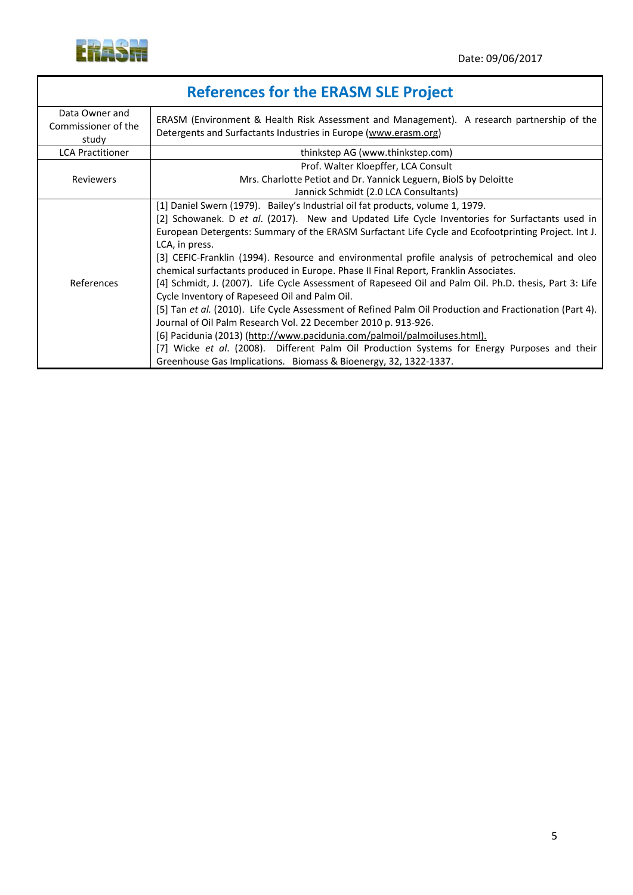

| <b>References for the ERASM SLE Project</b>    |                                                                                                                                                                                                                                                                                                                                                                                                                                                                                                                                                                                                                                                                                                                                                                                                                                                                                                                                                                                                                                                                                                |  |
|------------------------------------------------|------------------------------------------------------------------------------------------------------------------------------------------------------------------------------------------------------------------------------------------------------------------------------------------------------------------------------------------------------------------------------------------------------------------------------------------------------------------------------------------------------------------------------------------------------------------------------------------------------------------------------------------------------------------------------------------------------------------------------------------------------------------------------------------------------------------------------------------------------------------------------------------------------------------------------------------------------------------------------------------------------------------------------------------------------------------------------------------------|--|
| Data Owner and<br>Commissioner of the<br>study | ERASM (Environment & Health Risk Assessment and Management). A research partnership of the<br>Detergents and Surfactants Industries in Europe (www.erasm.org)                                                                                                                                                                                                                                                                                                                                                                                                                                                                                                                                                                                                                                                                                                                                                                                                                                                                                                                                  |  |
| <b>LCA Practitioner</b>                        | thinkstep AG (www.thinkstep.com)                                                                                                                                                                                                                                                                                                                                                                                                                                                                                                                                                                                                                                                                                                                                                                                                                                                                                                                                                                                                                                                               |  |
| <b>Reviewers</b>                               | Prof. Walter Kloepffer, LCA Consult<br>Mrs. Charlotte Petiot and Dr. Yannick Leguern, BiolS by Deloitte<br>Jannick Schmidt (2.0 LCA Consultants)                                                                                                                                                                                                                                                                                                                                                                                                                                                                                                                                                                                                                                                                                                                                                                                                                                                                                                                                               |  |
| References                                     | [1] Daniel Swern (1979). Bailey's Industrial oil fat products, volume 1, 1979.<br>[2] Schowanek. D et al. (2017). New and Updated Life Cycle Inventories for Surfactants used in<br>European Detergents: Summary of the ERASM Surfactant Life Cycle and Ecofootprinting Project. Int J.<br>LCA, in press.<br>[3] CEFIC-Franklin (1994). Resource and environmental profile analysis of petrochemical and oleo<br>chemical surfactants produced in Europe. Phase II Final Report, Franklin Associates.<br>[4] Schmidt, J. (2007). Life Cycle Assessment of Rapeseed Oil and Palm Oil. Ph.D. thesis, Part 3: Life<br>Cycle Inventory of Rapeseed Oil and Palm Oil.<br>[5] Tan et al. (2010). Life Cycle Assessment of Refined Palm Oil Production and Fractionation (Part 4).<br>Journal of Oil Palm Research Vol. 22 December 2010 p. 913-926.<br>[6] Pacidunia (2013) (http://www.pacidunia.com/palmoil/palmoiluses.html).<br>[7] Wicke et al. (2008). Different Palm Oil Production Systems for Energy Purposes and their<br>Greenhouse Gas Implications. Biomass & Bioenergy, 32, 1322-1337. |  |